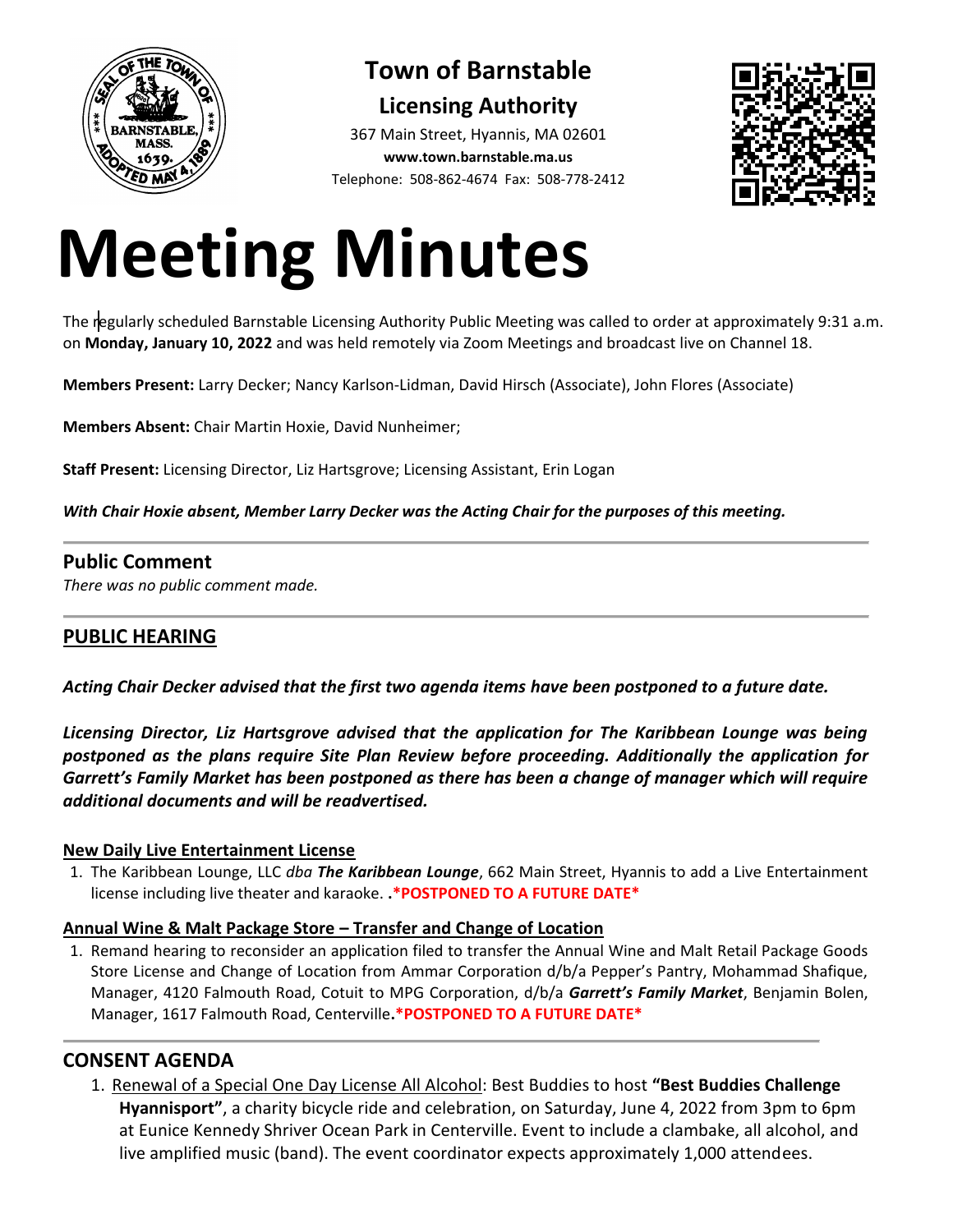

# **Town of Barnstable Licensing Authority**

367 Main Street, Hyannis, MA 02601 **www.town.barnstable.ma.us** Telephone: 508-862-4674 Fax: 508-778-2412



# **Meeting Minutes**

The regularly scheduled Barnstable Licensing Authority Public Meeting was called to order at approximately 9:31 a.m. on **Monday, January 10, 2022** and was held remotely via Zoom Meetings and broadcast live on Channel 18.

**Members Present:** Larry Decker; Nancy Karlson-Lidman, David Hirsch (Associate), John Flores (Associate)

**Members Absent:** Chair Martin Hoxie, David Nunheimer;

**Staff Present:** Licensing Director, Liz Hartsgrove; Licensing Assistant, Erin Logan

*With Chair Hoxie absent, Member Larry Decker was the Acting Chair for the purposes of this meeting.*

#### **Public Comment**

*There was no public comment made.*

# **PUBLIC HEARING**

*Acting Chair Decker advised that the first two agenda items have been postponed to a future date.*

*Licensing Director, Liz Hartsgrove advised that the application for The Karibbean Lounge was being postponed as the plans require Site Plan Review before proceeding. Additionally the application for Garrett's Family Market has been postponed as there has been a change of manager which will require additional documents and will be readvertised.*

#### **New Daily Live Entertainment License**

1. The Karibbean Lounge, LLC *dba The Karibbean Lounge*, 662 Main Street, Hyannis to add a Live Entertainment license including live theater and karaoke. **.\*POSTPONED TO A FUTURE DATE\***

#### **Annual Wine & Malt Package Store – Transfer and Change of Location**

1. Remand hearing to reconsider an application filed to transfer the Annual Wine and Malt Retail Package Goods Store License and Change of Location from Ammar Corporation d/b/a Pepper's Pantry, Mohammad Shafique, Manager, 4120 Falmouth Road, Cotuit to MPG Corporation, d/b/a *Garrett's Family Market*, Benjamin Bolen, Manager, 1617 Falmouth Road, Centerville**.\*POSTPONED TO A FUTURE DATE\***

## **CONSENT AGENDA**

1. Renewal of a Special One Day License All Alcohol: Best Buddies to host **"Best Buddies Challenge Hyannisport"**, a charity bicycle ride and celebration, on Saturday, June 4, 2022 from 3pm to 6pm at Eunice Kennedy Shriver Ocean Park in Centerville. Event to include a clambake, all alcohol, and live amplified music (band). The event coordinator expects approximately 1,000 attendees.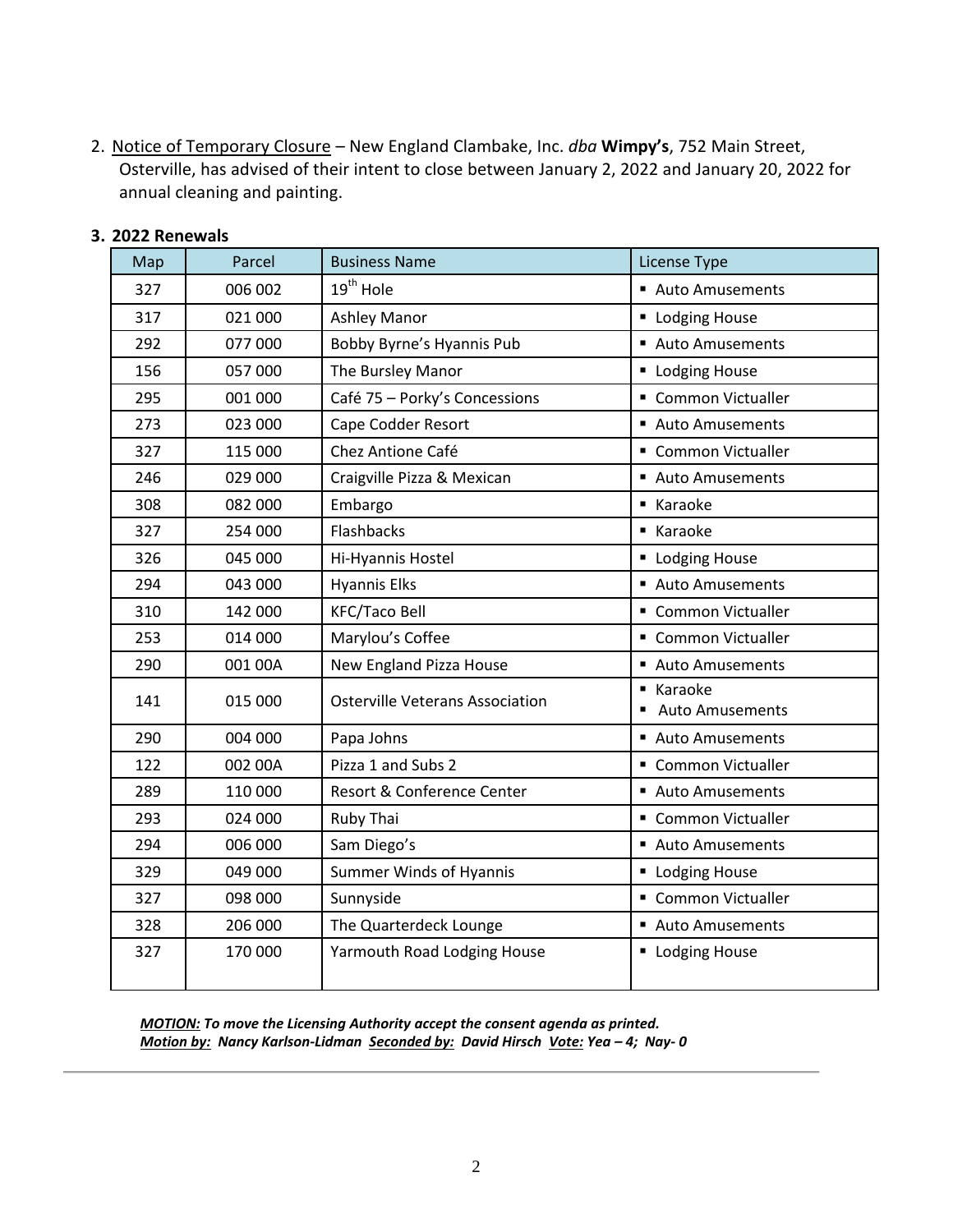2. Notice of Temporary Closure – New England Clambake, Inc. *dba* **Wimpy's**, 752 Main Street, Osterville, has advised of their intent to close between January 2, 2022 and January 20, 2022 for annual cleaning and painting.

| Map | Parcel  | <b>Business Name</b>                   | License Type                        |
|-----|---------|----------------------------------------|-------------------------------------|
| 327 | 006 002 | 19 <sup>th</sup> Hole                  | Auto Amusements                     |
| 317 | 021 000 | <b>Ashley Manor</b>                    | <b>- Lodging House</b>              |
| 292 | 077 000 | Bobby Byrne's Hyannis Pub              | Auto Amusements                     |
| 156 | 057 000 | The Bursley Manor                      | <b>- Lodging House</b>              |
| 295 | 001 000 | Café 75 - Porky's Concessions          | • Common Victualler                 |
| 273 | 023 000 | Cape Codder Resort                     | Auto Amusements                     |
| 327 | 115 000 | Chez Antione Café                      | • Common Victualler                 |
| 246 | 029 000 | Craigville Pizza & Mexican             | Auto Amusements                     |
| 308 | 082 000 | Embargo                                | ■ Karaoke                           |
| 327 | 254 000 | Flashbacks                             | ■ Karaoke                           |
| 326 | 045 000 | Hi-Hyannis Hostel                      | <b>- Lodging House</b>              |
| 294 | 043 000 | <b>Hyannis Elks</b>                    | Auto Amusements                     |
| 310 | 142 000 | <b>KFC/Taco Bell</b>                   | • Common Victualler                 |
| 253 | 014 000 | Marylou's Coffee                       | • Common Victualler                 |
| 290 | 001 00A | New England Pizza House                | Auto Amusements                     |
| 141 | 015 000 | <b>Osterville Veterans Association</b> | ■ Karaoke<br><b>Auto Amusements</b> |
| 290 | 004 000 | Papa Johns                             | Auto Amusements                     |
| 122 | 002 00A | Pizza 1 and Subs 2                     | • Common Victualler                 |
| 289 | 110 000 | Resort & Conference Center             | Auto Amusements                     |
| 293 | 024 000 | Ruby Thai                              | • Common Victualler                 |
| 294 | 006 000 | Sam Diego's                            | Auto Amusements                     |
| 329 | 049 000 | <b>Summer Winds of Hyannis</b>         | <b>Lodging House</b>                |
| 327 | 098 000 | Sunnyside                              | • Common Victualler                 |
| 328 | 206 000 | The Quarterdeck Lounge                 | Auto Amusements                     |
| 327 | 170 000 | Yarmouth Road Lodging House            | <b>- Lodging House</b>              |

#### **3. 2022 Renewals**

*MOTION: To move the Licensing Authority accept the consent agenda as printed. Motion by: Nancy Karlson-Lidman Seconded by: David Hirsch Vote: Yea – 4; Nay- 0*